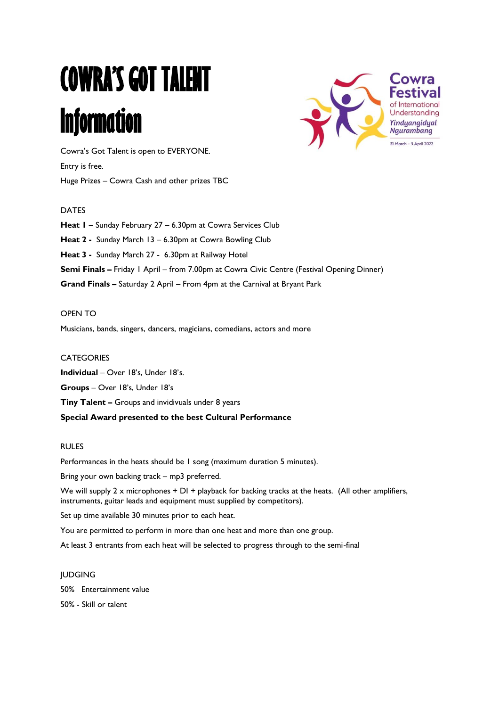# **COWRA'S GOT TALENT Information**



Cowra's Got Talent is open to EVERYONE. Entry is free. Huge Prizes – Cowra Cash and other prizes TBC

# DATES

**Heat 1** – Sunday February 27 – 6.30pm at Cowra Services Club **Heat 2 -** Sunday March 13 – 6.30pm at Cowra Bowling Club **Heat 3 -** Sunday March 27 - 6.30pm at Railway Hotel **Semi Finals –** Friday 1 April – from 7.00pm at Cowra Civic Centre (Festival Opening Dinner) **Grand Finals –** Saturday 2 April – From 4pm at the Carnival at Bryant Park

#### OPEN TO

Musicians, bands, singers, dancers, magicians, comedians, actors and more

#### **CATEGORIES**

**Individual** – Over 18's, Under 18's. **Groups** – Over 18's, Under 18's **Tiny Talent –** Groups and invidivuals under 8 years **Special Award presented to the best Cultural Performance**

### RULES

Performances in the heats should be 1 song (maximum duration 5 minutes).

Bring your own backing track – mp3 preferred.

We will supply 2 x microphones + DI + playback for backing tracks at the heats. (All other amplifiers, instruments, guitar leads and equipment must supplied by competitors).

Set up time available 30 minutes prior to each heat.

You are permitted to perform in more than one heat and more than one group.

At least 3 entrants from each heat will be selected to progress through to the semi-final

# JUDGING

50% Entertainment value

50% - Skill or talent